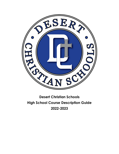

# **Desert Christian Schools High School Course Description Guide 2022-2023**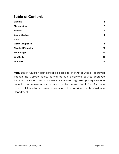## **Table of Contents**

| <b>English</b>            | $\boldsymbol{4}$ |
|---------------------------|------------------|
| <b>Mathematics</b>        | $\overline{7}$   |
| <b>Science</b>            | 11               |
| <b>Social Studies</b>     | 14               |
| <b>Bible</b>              | 17               |
| <b>World Languages</b>    | 18               |
| <b>Physical Education</b> | 20               |
| <b>Technology</b>         | 20               |
| <b>Life Skills</b>        | 21               |
| <b>Fine Arts</b>          | 22               |

*Note:* Desert Christian High School is pleased to offer AP courses as approved through the College Board, as well as dual enrollment courses approved through Colorado Christian University. Information regarding prerequisites and instructor recommendations accompany the course descriptions for these courses. Information regarding enrollment will be provided by the Guidance Department.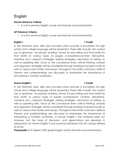# <span id="page-2-0"></span>English

### **Honors Entrance Criteria:**

1. A or B in previous English course and teacher recommendation

### **AP Entrance Criteria:**

1. A or B in previous English course and teacher recommendation

### **English I 1 Credit**

In the freshmen year, skills and concepts which provide a foundation for high school and college language will be presented. These skills include: the correct use of grammar, vocabulary building, format for pre-writing and final drafts for final drafts of various types of papers (comparison/contrast, descriptive, narrative, etc.), research strategies, editing strategies, mechanics of writing, as well as speaking skills. Once at the conceptual level, critical thinking, analysis and argument strategies will be considered through reading of several novels as well as various short stories and essays. Throughout the entire curriculum, biblical themes and understandings are discussed to emphasize the importance of formulating a Christian worldview.

### **Honors English I 1 Credit**

In the freshmen year, skills and concepts which provide a foundation for high school and college language will be presented. These skills include: the correct use of grammar, vocabulary building, format for pre-writing and final drafts for final drafts of various types of papers (comparison/ contrast, descriptive, narrative, etc.), research strategies, editing strategies, mechanics of writing, as well as speaking skills. Once at the conceptual level, critical thinking, analysis and argument strategies will be considered through reading of several novels as well as various short stories and essays. Throughout the entire curriculum, biblical themes and understandings are discussed to emphasize the importance of formulating a Christian worldview. In Honors English I, the workload does not increase, but the level of discussion and expectations are elevated in preparation for Honors English II and eventual admission into AP courses offered at DCHS.

**Prerequisite:** B or higher in 8th grade English and/or teacher recommendation.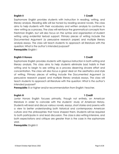### **English II 1 Credit**

Sophomore English provides students with instruction in reading, writing, and literary analysis. Reading skills will be honed by reading several novels. The class aims to help students with their vocabulary and written analysis to continue to view writing as a process. The class will reinforce the grammatical concepts from Freshman English, but will also focus on the syntax and organization of student writing using evidential textual support. Primary pieces of writing include the Documented Argument (a persuasive research paper) and multiple literary analysis essays. The class will teach students to approach all literature with the question: *What is the author's intended purpose?*

**Prerequisite:** English I

### **English II Honors 1 Credit**

Sophomore English provides students with rigorous instruction in both writing and literary analysis. This class aims to help students eliminate bad habits in their writing and to begin to see writing as a process deserving sincere effort and concentration. The class will also focus a great deal on the aesthetics and style of writing. Primary pieces of writing include the Documented Argument (a persuasive research paper) and multiple literary analysis essays. The class will teach students to approach all literature with the question: *What is the author's intended purpose?*

**Prerequisite:** B or higher and/or recommendation from English I teacher.

#### **English III 1 Credit**

Junior Honors English focuses primarily, though not entirely, on American literature in order to coincide with the students' study of American History. Students will read and discuss various novels, essays, short stories and poems with a view to better understanding both historical and contemporary American culture and the philosophies that have shaped them. Students will be required to both participate in and lead discussion. The class is also writing intensive, and both expectations and critique are greater than is the case in the sophomore year.

**Prerequisite:** English II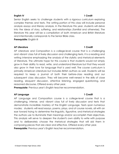#### **English IV 1 Credit**

Senior English seeks to challenge students with a rigorous curriculum exploring complex themes and texts. The writing portion of this class will include personal analysis essays and literary analysis. In the literature this year, students will delve into the ideas of story, suffering, and relationships (familial and otherwise). The literature this year will be a compilation of both American and British literature and intentionally corresponds to the Senior Bible class.

**Prerequisite:** English III

#### **AP Literature 1 Credit**

AP Literature and Composition is a college-level course that is a challenging and vibrant class full of lively discussion and challenging texts. It is a reading and writing intensive emphasizing the analysis of the stylistic and rhetorical elements of literature. The ultimate hope for this course is that students would not simply grow in their ability to read, write, and understand literature but that they would also grow in their love for language that is used well. The course curriculum is primarily American Literature but includes British authors as well. Students will be required to keep a journal of both their before-class reading and our subsequent class discussion. They will become well-versed in the skills of close reading, eloquent discussion, attentive listening, engaged questioning, and reasoned discourse**.** Offered every other year.

**Prerequisite**: Previous year's English teacher recommendation.

### **AP Language 1 Credit**

### AP Language and Composition course is a college-level course that is a challenging, intense, and vibrant class full of lively discussion and texts that demonstrate incredible mastery of the English Language. Texts span numerous modes; students will read essays, poems, plays, and of course novels, all with an eye toward trying to determine the linguistic, figurative, and rhetorical strategies the authors use to illuminate their meanings and*/*or accomplish their objectives. This analysis will serve to deepen the student's own ability to write with purpose and to deliberately choose the rhetorical strategies that will aid them in composing pieces that are clear and effective. Offered every other year. **Prerequisite:** Previous year's English teacher recommendation.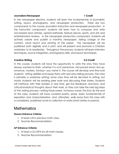#### **Journalism/Newspaper 1 Credit**

In the newspaper elective, students will learn the fundamentals of journalistic writing, layout, photography, and newspaper production. There are two components to the course: journalism instruction and newspaper production. In the instruction component, students will learn how to compose and write non-biased news articles, opinion-editorials, feature pieces, sports, and arts and entertainment reviews. In the newspaper production component, students will actively create and publish a monthly newspaper, taking charge of the content, visual layout and printing of the paper. The newspaper will be published both digitally and in print, and will present and promote a Christian worldview to its readership. Throughout the process, students will learn interview techniques, source integration, photography skills, and layout techniques.

#### **Creative Writing 0.5 Credit**

In this course, students will have the opportunity to write the story they have always wanted to finish, whether it is sci-fi adventure, fast-paced shoot-'em-up, romance, mystery, fantasy—you name it. The course will develop and fine-tune students' writing abilities and equip them with real story-telling prowess. The class is primarily a workshop setting; some class time will be devoted to writing, but mostly students will be reading peer work and discussing their stories. Students will interface with their readers in real time, get live feedback, reactions, and critical/analytical thoughts about their work, so they can take the next big steps of the writing process—writing those sweet, victorious words: *The End.* By the end of the class, students will have covered poetry, prose, basic fundamentals of exposition and characterization, and, ultimately, walk away from this class with a completed, published novel or collection of works (short stories or poems).

## <span id="page-5-0"></span>**Mathematics**

### **Honors Entrance Criteria:**

- 1. At least a B in previous math class.
- 2. Teacher Recommendation.

### **AP Entrance Criteria:**

- 1. At least a 3.5 GPA for all math classes.
- 2. Teacher Recommendation.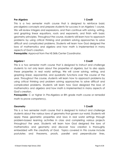### **Pre-Algebra 1 Credit**

This is a two semester math course that is designed to reinforce basic pre-algebra concepts and prepare students for success in an Algebra 1 course. We will review integers and expressions, and then continue with solving, writing, and graphing linear equations, roots and exponents, and finish with basic geometry principles. Throughout the course, students will learn how to approach problems by using critical thinking and problem solving approaches to solve difficult and complicated problems. Students will learn how God designed the laws of mathematics and algebra and how math is implemented in many aspects of God's creation.

**Prerequisite:** Approval from the HS Skills Center Coordinator.

### **Algebra I 1 Credit**

This is a two semester math course that is designed to instruct and challenge students to not only learn about the properties of algebra, but to also apply these properties in real world settings. We will cover solving, writing, and graphing linear, exponential, and quadratic functions over the course of the year. Throughout the course, students will learn how to approach problems by using critical thinking and problem solving approaches to solve difficult and complicated problems. Students will learn how God designed the laws of mathematics and algebra and how math is implemented in many aspects of God's creation.

**Prerequisite:** C or higher in Pre-Algebra or 8th grade math course or remedial math to prove competency.

#### **Geometry 1 Credit**

This is a two semester math course that is designed to instruct and challenge students about the various laws of geometry that govern our world. Students will apply these geometric properties and laws in real world settings through problem-based learning activities in class and completing various projects throughout the year. Students will learn how God designed the laws of mathematics and geometry and discover how creation is thoroughly embedded with the creativity of God. Topics covered in this course include postulates and theorems, proofs, parallel and perpendicular lines,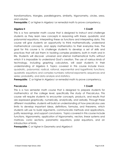transformations, triangles, parallelograms, similarity, trigonometry, circles, area, and volume.

**Prerequisite:** C or higher in Algebra I or remedial math to prove competency.

### **Algebra II 1 Credit**

This is a two semester math course that is designed to instruct and challenge students as they learn new concepts in reasoning with linear, quadratic and polynomial equations, interpreting these as functions and interpreting data. This course will give students an opportunity to think mathematically, understand mathematical concepts, and apply mathematics to their everyday lives. The goal for this course is to challenge students to develop a set of skills and practices that will aid them in tackling complex problems, both in math and in life. Students will discover universal and eternal mathematical truths without which it is impossible to understand God's creation. The use of various kinds of technology, including graphing calculators, will assist students in their understanding of Algebra II. Topics covered in this course include linear, quadratic, polynomial, radical, rational, exponential and logarithmic functions; quadratic equations and complex numbers; rational exponents; sequences and series; probability, and data analysis and statistics.

**Prerequisite:** C or higher in Algebra I or remedial math to prove competency.

### **Precalculus 1 Credit**

This is a two semester math course that is designed to prepare students for mathematics at the college level, specifically the study of Precalculus. This course will require students to encounter concepts, products, and results that are expressed graphically, numerically, analytically, and verbally. Through these different modalities, students will build an understanding of how precalculus uses limits to develop important ideas, definitions, formulas, and theorems, which students will use to build arguments, communicate methods and applications, justify reasonings, and support conclusions. Topics covered in this course include functions, trigonometry, application of trigonometry, vectors, linear systems and matrices, conic sections, parametric equations, polar equations, and an introduction of limits.

**Prerequisite:** C or higher in Geometry and Algebra II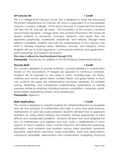#### **AP Calculus AB 1 Credit**

This is a college-level Calculus course that is designed to meet the Advanced Placement requirements for Calculus AB (which is equivalent to a one semester Calculus I course in college). At the end of the year, it is expected that students will take the AP Calculus AB exam. The foundation of this course is centered around three big ideas: change, limits, and analysis of functions. This course will require students to encounter concepts, products, and results that are expressed graphically, numerically, analytically, and verbally. Through these different modalities, students will build an understanding of how calculus uses limits to develop important ideas, definitions, formulas, and theorems, which students will use to build arguments, communicate methods and applications, justify reasonings, and support conclusions.

#### *This class is offered for Dual Enrollment through CCU.*

**Prerequisite:** Precalculus (in addition to the AP Entrance Criteria listed above)

#### **Discrete Math 1 Credit**

This course is designed to provide authentic conceptualizations in mathematics based on the foundations of integers (as opposed to continuous numbers). Students will be exposed to new areas in math, including logic, set theory, matrices and vectors, game theory, number theory, and graph theory. In each unit, students will apply the mathematical processes necessary for problem solving, reasoning, and conceptual understanding. Applications to real-life scenarios will be an emphasis, including business competition, computers, sports, social media, engineering, physics, and cybersecurity.

**Prerequisite:** Algebra II

### **Math Applications 1 Credit**

This course is designed to prepare students for understanding how to recognize and use the concepts of mathematics and logic in many real world avenues. mathematics to solve real world problems. Students will learn how to approach problems by using critical thinking and problem solving approaches to solve difficult and complicated problems. Students will learn how God designed the laws of mathematics and algebra and how math is implemented in many aspects of God's creation. Topics include Inductive and deductive reasoning, estimation, word problems and problem solving, linear equations, quadratic equations, exponential equations, basic probability, odds and expectations, compound probability, permutations and combinations, budgeting, financing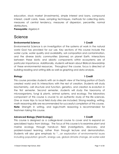education, stock market (Investments), simple interest and loans, compound interest, credit cards, taxes, sampling techniques, methods for collecting data, measures of central tendency, measures of dispersion, percentile, normal distributions.

<span id="page-9-0"></span>**Prerequisite:** Algebra II

## [Science](#page-9-0)

#### **Environmental Science 1 Credit**

Environmental Science is an investigation of the systems at work in the natural world God has provided for our use. Key sections of this course include the water cycle, water quality and availability, soil composition and contamination, and the diverse biotic communities (biomes) on planet Earth. Interactions between these biotic and abiotic components within ecosystems are of particular importance. Additionally, students will learn about Biblical stewardship of these environmental resources. Throughout the course, focus is directed at building reading and writing skills as well as graphing and data analysis.

#### **Biology 1 Credit**

This course provides students with an in-depth view of the living portion of God's created world and its interactions with the rest of creation. Students will study biochemistry, cell structure and function, genetics, and creation & evolution in the first semester. Second semester, students will study the taxonomy of microorganisms, fungi & plants, animal systems, and ecology. The laboratory component of this course is crucial to an authentic study of the life sciences. One or more trips to local field study sites are included. Strong reading, writing, math reasoning skills are recommended for successful completion of this course. **Note:** Strength in writing, and logic/math reasoning is recommended for freshmen taking this course.

### **Advanced Biology (Field Ecology) 1 Credit**

This course is designed as a college-level course to cover and to expand on specialized topics from biology. The focus of this course is to examine plant and marine ecology through hands-on field investigations, discovery, and problem-based learning, rather than through lecture and demonstration. Students will also give emphasis to "…an exploration of environmental issues including population growth, energy use, global climate change, air-water-solid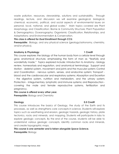waste pollution, resources, stewardship, solutions and sustainability. Through readings, lecture, and discussion we will examine geological, biological, chemical, economic, political, and social aspects of environmental issues on personal, local, national, and global scales." Main topics covered are Plant Morphology and Classification; Biome & Community Structure; Plant Population & Demographics; Oceanography; Organismic Classification, Relationships, and Adaptations; and Environmentalism & Conservation.

#### *This class is offered for Dual Enrollment through CCU.*

**Prerequisite:** Biology, and any physical science (geology/astronomy, chemistry, and/or physics).

#### **Anatomy & Physiology 1 Credit**

### This course explores the biology of the human body from a cellular level through gross anatomical structure, emphasizing the form of man as "fearfully and wonderfully made." Topics explored include: Introduction to Anatomy - biology review, homeostasis and regulation, and anatomical terminology; Support and Motion - skeletal system, movement and joints and the muscular system; Control and Coordination - nervous system, senses, and endocrine system; Transport blood and the cardiovascular and respiratory systems; Absorption and Excretion - the digestive system, nutrition and metabolism, and the urinary system; Protection - integumentary, lymphatic and immune systems; and Reproduction covering the male and female reproductive systems, fertilization and pregnancy.

#### *This course is offered every other year.*

**Prerequisite:** Biology and Chemistry

### **Geology 0.5 Credit**

This course introduces the basics of Geology, the study of the Earth and its processes, as well as strengthens core concepts in science. Students will explore topics such as weathering and erosion, geologic hazards, geologic history, plate tectonics, rocks and minerals, and mapping. Students will participate in labs to explore geologic concepts. By the end of the course, students will be able to understand various geologic concepts, identify common rocks and minerals, and create topographic maps.

### *This course is one semester and is taken alongside Space Science.* **Prerequisite:** Biology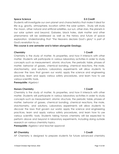### **Space Science 0.5 Credit**

Students will investigate our own planet and characteristics that make it ideal for life--e.g. gravity, atmosphere, location within the solar system. Study will study the moon, other natural and artificial satellites, our sun, other stars, the planets in our solar system and beyond. Galaxies, black holes, dark matter and other phenomena will be addressed as well as the history and future of space exploration. Understanding that "the Heavens declare God's glory" is part of God's revelation to us.

#### *This course is one semester and is taken alongside Geology.*

#### **Chemistry 1 Credit**

Chemistry is the study of matter, its properties, and how it interacts with other matter. Students will participate in various laboratory activities in order to study concepts such as measurement, atomic structure, the periodic table, phases of matter, behavior of gasses, chemical bonding, chemical reactions, the mole, stoichiometry, and solutions. Laboratory experiments will allow students to discover the laws that govern our world, apply the science and engineering practices, learn and apply various safety procedures, and learn how to use various scientific tools.

**Prerequisite:** Algebra I

### **Honors Chemistry 1 Credit**

Chemistry is the study of matter, its properties, and how it interacts with other matter. Students will participate in various laboratory activities in order to study concepts such as measurement, atomic structure, the periodic table, phases of matter, behavior of gasses, chemical bonding, chemical reactions, the mole, stoichiometry, and solutions. Laboratory experiments will allow students to discover the laws that govern our world, apply the science and engineering practices, learn and apply various safety procedures, and learn how to use various scientific tools. Students taking honors chemistry will be expected to perform above and beyond in laboratory experiments, including doing outside research on various chemistry topics.

**Prerequisite:** Algebra I and teacher approval

### **AP Chemistry 1 Credit**

AP Chemistry is designed to prepare students for future advanced chemistry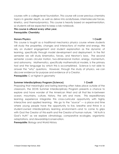courses with a college-level foundation. This course will cover previous chemistry topics in greater depth, as well as delve into acids/bases, intermolecular forces, kinetics, and thermodynamics. This course is heavily based on experimentation, so students will be expected to keep a lab notebook.

### *This course is offered every other year.* **Prerequisite: Chemistry**

#### **Honors Physics 1 Credit**

This course is taught as a traditional mechanics physics course where students will study the properties, changes and interactions of matter and energy. We rely on student engagement and student explanation as the dynamic of learning, specifically through model development and deployment. In the first semester we will study kinematics, forces, and Newton's laws. The second semester covers circular motion, two-dimensional motion, energy, momentum, and astronomy. Mathematics, specifically mathematical models, is the primary tool and the language by which this is accomplished. Science is not able to answer the "why" questions. However, through the study of physics, we can discover evidence for purpose and evidence of a Creator.

**Prerequisite:** C or higher in geometry

### **Summer Interdisciplinary Program (Science) 1 Credit**

Proposing that meaningful and lasting learning often takes place outside of the classroom, the DCHS Summer Interdisciplinary Program presents a chance to explore and have wonder of the American West and all that lies in-between ocean, mountains, culture, history, the arts and more. This expeditionary learning experience integrates this cross-curricular opportunity with highly interactive and applied learning. We go to the "source" — a place and time where young people have the opportunity to live, breathe and thrive in a student-owned interdisciplinary learning environment—and to come to grips with God the Creator of this earth and the Creator of human nature. "All truth is God's truth" as we explore climatology, comparative ecologies, organismic adaptations, and stewardship/conservation.

**Prerequisite:** Biology and World History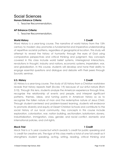# <span id="page-13-0"></span>Social Sciences

### **Honors Entrance Criteria:**

1. Teacher Recommendation.

### **AP Entrance Criteria:**

1. Teacher Recommendation.

### **World History 1 Credit**

Word History is a year-long course. The narrative of world history from the 15th century to modern day promotes a fundamental and imperative understanding of repetitive societal patterns, regardless of geographical location. This study will attempt to reveal the history of humanity through the eyes of God using comparative perspectives and critical thinking and judgment. Key concepts covered in this class include world belief systems, interregional interactions, revolutions in thought, industry and nations, economic systems, imperialism, war, and globalization. In this course, students will develop and hone their ability to engage essential questions and dialogue and debate with their peers through Socratic seminar.

#### **U.S. History 1 Credit**

US History is a year-long course. The study of US history from a Christian worldview reveals that history repeats itself (Eccles 1:9) because of our sinful nature (Rom 3:10). Through this lens, students analyze the American experience through time, recognize the relationship of events and people, and interpret significant patterns, themes, ideas, and turning points in American history so as to recognize the fallen nature of man and the redemptive nature of Jesus Christ. Through student-centered and problem-based learning, students will endeavor to promote diversity and equity at Desert Christian Schools and contribute to the social history of our local community. Key concepts in this course include exploration, colonization, war, nation building, sectionalism, isolationism, slavery, industrialization, immigration, class, gender, and racial conflict, domestic and international policies, and civil rights.

### **Mock Trial 1 Credit**

Mock Trial is a ¾ year course but which awards ½ credit for public speaking and ½ credit for creative arts. The rigor of this class merits a total of one full credit as it strengthens student speaking, acting, writing, reading, critical thinking and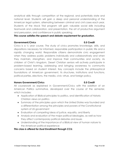analytical skills through competition at the regional, and potentially state and national level. Students will gain a deep and personal understanding of the American legal system, alternating between criminal and civil cases each year. Students of the Mock Trial program will gain valuable social skills including teamwork and collaboration, oral presentation, the art of productive argument and persuasion, and confidence in public speaking.

#### *This course satisfies the speech and debate requirement for graduation.*

#### **Government/Civics 0.5 Credit**

Civics is a ½ year course. The study of civics promotes knowledge, skills, and dispositions necessary for informed, responsible participation in public life and a rapidly changing world. Responsible citizens demonstrate civic engagement when they address public problems individually and collaboratively and when they maintain, strengthen, and improve their communities and society. As children of Christ's kingdom, Desert Christian seniors will actively participate in problem-based learning, addressing and bringing awareness to community concerns based on student interest. Key concepts include the philosophical foundations of American government, its structures, institutions and functions, political parties, elections, the media, civic virtue, and foreign policy.

### **Honors Government/Civics 0.5 Credit**

All coursework as explained in Government/Civics with the addition of an American Politics summative, developed over the course of the semester, which includes:

- Application of Biblical principles to politics, and identification of historic Christian views on politics
- Summary of the principles upon which the United States was founded and a differentiation among the principles and powers of the Constitutional system of US government
- Evaluation of competing ideas of justice, equality, and liberty
- Analysis and evaluation of the major political ideologies, as well as how they affect contemporary political debates and issues
- Understanding of the importance of a Biblical view of human nature to the American political experience

### *This class is offered for Dual Enrollment through CCU.*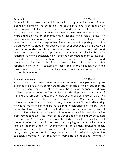#### **Economics 0.5 Credit**

Economics is a ½ year course. This course is a comprehensive survey of basic economic principles. The purpose of this course is to give students a broad understanding of the Biblical, personal, and fundamental principles of economics. The study of Economics will help students become better decision makers and develop an economic way of thinking and problem solving. The understanding of economic principles will enable students to live their lives more intentionally as Christians, responsible citizens and effective participants in the global economy. Students will develop their ideal economic system based on their understanding of theory, while integrating their Christian Faith and introduce common economic problems that occur in the United States. With regard to economic principles, we will examine both microeconomics (the study of individual decision making by consumers and businesses) and macroeconomics (the study of social level problems that are most often reported in the news). A sampling of these topics include inflation, economic growth, unemployment, government spending, taxes, money and interest rates, and exchange rates.

### **Honors Economics 0.5 Credit**

This course is a comprehensive survey of basic economic principles. The purpose of this course is to give students a broad understanding of the Biblical, personal, and fundamental principles of economics. The study of economics will help students become better decision makers and develop an economic way of thinking and problem solving. The understanding of economic principles will enable students to live their lives more intentionally as Christians, responsible citizens and effective participants in the global economy. Students will develop their ideal economic system based on their understanding of theory, while integrating their Christian Faith and introduce common economic problems that occur in the United States. With regard to economic principles, we will examine both microeconomics (the study of individual decision making by consumers and businesses) and macroeconomics (the study of social level problems that are most often reported in the news). A sampling of these topics include inflation, economic growth, unemployment, government spending, taxes, money and interest rates, and exchange rates. The honors section of this course will go into greater depth in regards to economic policy throughout the semester. Students will be required to complete an additional summative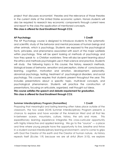project that discusses economists' theories and the relevance of those theories in the current state of the United States economic system. Honors students will also be required to research key economic components through current news and report to the class the application of mentioned concepts.

*This class is offered for Dual Enrollment through CCU.*

### **AP Psychology 1 Credit**

The AP Psychology course is designed to introduce students to the systematic and scientific study of the behavior and mental processes of human beings and other animals, which is psychology. Students are exposed to the psychological facts, principles, and phenomena associated with each of the major subfields within psychology. Time will be spent looking at methods of psychology and how they speak to a Christian worldview. Time will also be spent learning about the ethics and methods psychologists use in their science and practice. Students will study the following topics in this course; the history, research methods, biological bases of behavior, sensation and perception, states of consciousness, learning, cognition, motivation and emotion, development, personality, abnormal psychology, testing, treatment of psychological disorders, and social psychology. This course requires that students present throughout the year. This includes presentations about a specific topic, multi-level concepts, and psychological phenomenon. Students will practice the construction of presentations, focusing on articulate, organized, well thought out ideas.

*This course satisfies the speech and debate requirement for graduation. This class is offered for Dual Enrollment through CCU.*

#### **Summer Interdisciplinary Program (Humanities) 1 Credit**

Proposing that meaningful and lasting learning often takes place outside of the classroom, the two week DCHS Summer Interdisciplinary Program presents a chance to explore and have wonder of the American West and all that lies in-between ocean, mountains, culture, history, the arts and more. This expeditionary learning experience integrates this cross-curricular opportunity with highly interactive and applied learning. We go to the "source" — a place and time where young people have the opportunity to live, breathe and thrive in a student-owned interdisciplinary learning environment—and to come to grips with God the Creator of this earth and the Creator of human nature. As history repeats itself (Eccles 1:9) because we are all sinful (Rom 3:10), we explore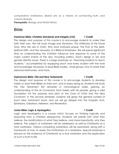comparative worldviews, liberal arts as a means of connecting truth, and cultural diversity.

**Prerequisite:** Biology and World History

# <span id="page-17-0"></span>Bible

### **Freshman Bible: Christian Standards and Integrity (CSI) 1 Credit**

The design and purpose of this course is to encourage students to make their faith their own. We will study Image and Dominion, The Attributes of the Triune God, Who We are in Christ, Why God instituted prayer, The Fruit of the Spirit, Spiritual Gifts, and the necessity of a Biblical Worldview. We will spend significant time on understanding the Christian influence and response to some of the major current events of the day, including politics, God's design in sex and gender identity issues. There is a large emphasis on "teaching students to teach students," accomplished by equipping each and every student with the tools and knowledge necessary to lead Bible studies, small groups, how to share their personal testimonies, and more.

#### **Sophomore Bible: Old and New Testaments 1 Credit**

The design and purpose of this course is to encourage students to develop habits to read their Bibles on their own, and to enjoy doing so. Students will study the Old Testament first semester in chronological order, gaining an understanding of the six Covenants God makes with His people, giving a solid foundation for the purpose and plan of the Cross of Christ and the New Covenant. In the second semester, students will grasp the general context of each New Testament book, and we will go deeper into the Gospels, Acts, Ephesians, Galatians, Hebrews, and Revelation.

### **Junior Bible: Logic & Apologetics 1 Credit**

Logic and Apologetics is a course which focuses on thinking logically and reasoning from a Christian perspective. Students will wrestle with what they believe, the ramifications of what they believe, and more importantly, why they believe. The subject of worldview will be addressed, as well as Christianity as a total worldview. Various competing worldviews will be examined, along with a framework of how to assess the truthfulness of a worldview. Special emphasis is placed on the evidence of Christianity as a true worldview and the application of such a truth to life.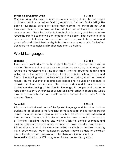#### **Senior Bible: Christian Living 1 Credit**

Christian Living addresses how each one of our personal stories fits into the story of those around us, as well as God's greater story. The story God is telling, like each of our stories, consists of several main themes. First, things are not what they seem, there is more going on than what we see on the surface. Second, we are at war. There is a battle that each of us face daily and the sooner we recognize this, the sooner we can engage in the battle. Last, each one of us has a crucial role to play. We were made with a purpose to bring honor and glory to God with the talents and gifts that He has equipped us with. Each of our stories are more complex and matter more than we believe.

# <span id="page-18-0"></span>World Languages

### **Spanish I 1 Credit**

This course is an introduction to the study of the Spanish language and its various cultures. The emphasis is placed on interactive and engaging activities geared toward the development of the four skills of listening, speaking, reading and writing within the context of greetings, freetime activities, school subjects and family. The learning extends outside of the classroom setting when possible and focuses on the students' lives and experiences and includes an exposure to everyday customs and lifestyles. The course is designed to increase each student's understanding of the Spanish language, its people and culture, to raise each student's awareness of cultural diversity in order to appreciate God's love for all humanity, and to be able to meet and get to know new Spanish speaking friends.

#### **Spanish II 1 Credit**

This course is a 2nd level study of the Spanish language and its culture. It allows students to go deeper in the functions of the language and to gain a greater appreciation and knowledge of a wide variety of Spanish speaking cultures and their traditions. The emphasis is placed on further development of the four skills of listening, speaking, reading and writing within the context of moods and feelings, daily routine, opinions and comparisons, travel and discussing the past. This extends outside of the classroom setting as much as possible, including travel opportunities. Upon completion, students should be able to genuinely create friendships and professional relationships with Spanish speakers.

**Prerequisite:** Spanish I or 80% or higher on Spanish I equivalency exam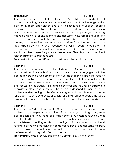#### **Spanish III/IV 1 Credit**

This course is an intermediate level study of the Spanish language and culture. It allows students to go deeper into advanced functions of the language and to gain an in-depth appreciation and diverse knowledge of Spanish speaking cultures and their traditions. The emphasis is placed on reading and writing within the context of Scripture, art, literature, and history, speaking and listening through a high level of engagement and discussion in the target language and advanced grammar including present subjunctive, present perfect and present/past progressive. Learning extends outside of the classroom into our rich local hispanic community and throughout the world through interactive on-line engagement and in-person travel opportunities. Upon completion, students should be able to genuinely create deeper level friendships and professional relationships with Spanish speakers.

**Prerequisite:** Spanish II or 80% or higher on Spanish II equivalency exam

#### **German I 1 Credit**

This course is an introduction to the study of the German language and its various cultures. The emphasis is placed on interactive and engaging activities geared toward the development of the four skills of listening, speaking, reading and writing within the context of greetings, freetime activities, school subjects and family. The learning extends outside of the classroom setting when possible and focuses on the students' lives and experiences and includes an exposure to everyday customs and lifestyles. The course is designed to increase each student's understanding of the German language, its people and culture, to raise each student's awareness of cultural diversity in order to appreciate God's love for all humanity, and to be able to meet and get to know new friends.

### **German II 1 Credit**

This course is a 2nd level study of the German language and its culture. It allows students to go deeper in the functions of the language and to gain a greater appreciation and knowledge of a wide variety of German speaking cultures and their traditions. The emphasis is placed on further development of the four skills of listening, speaking, reading and writing within the context of moods and feelings, daily routine, opinions and comparisons, travel, and discussing the past. Upon completion, students should be able to genuinely create friendships and professional relationships with German speakers.

**Prerequisite:** German I or 80% or higher on German I equivalency exam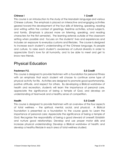### **Chinese I 1 Credit**

This course is an introduction to the study of the Mandarin language and various Chinese cultures. The emphasis is placed on interactive and engaging activities geared toward the development of the four skills of listening, speaking, reading and writing within the context of greetings, freetime activities, school subjects, and family. (Emphasis is placed more on listening, speaking, and reading characters for the first semester). The learning extends outside of the classroom setting when possible and focuses on the students' lives and experiences and includes an exposure to everyday customs and lifestyles. The course is designed to increase each student's understanding of the Chinese language, its people and culture, to raise each student's awareness of cultural diversity in order to appreciate God's love for all humanity, and to be able to meet and get to know new friends.

# <span id="page-20-0"></span>Physical Education

#### **Freshmen P.E. 0.5 Credit**

This course is designed to provide freshmen with a foundation for personal fitness with an emphasis that each student will choose to continue some type of physical activity for life. Activities are designed to promote good sportsmanship, positive attitude, and respect for others. By developing a Biblical worldview of health and recreation, students will learn the importance of personal care, appreciate the significance of being a temple of God, and develop an understanding of teamwork and a healthy sense of competition.

#### **Health 0.5 Credit**

This course is designed to provide freshmen with an overview of the four aspects of total wellness – the spiritual, mental, social, and physical. A Biblical foundation is presented as a foundation to the course goals to: Learn the importance of personal care; Appreciate the significance of being a temple of God; Recognize the responsibility of being a good steward of oneself; Establish and nurture good relationships; Develop and use proper motor skills and increase physical understanding; Develop a Biblical worldview of health; and develop a healthy lifestyle in each area of total wellness studied.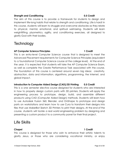#### **Strength and Conditioning 0.5 Credit**

The aim of this course is to provide a framework for students to design and implement life-long habits that relate to strength and conditioning. Life is hard! In this course, students will learn to struggle and overcome obstacles as they relate to physical, mental, emotional, and spiritual well-being. Students will learn weightlifting, plyometrics, agility, and conditioning exercises, all designed to glorify God with their bodies.

# <span id="page-21-0"></span>**Technology**

### **AP Computer Science Principles 1 Credit**

This is an entry-level Computer Science course that is designed to meet the Advanced Placement requirements for Computer Science Principles (equivalent to a foundational Computer Science course at the college level). At the end of the year, it is expected that students will take the AP Computer Science Exam, as well as complete the Create Performance Task associated with the course. The foundation of this course is centered around seven big ideas: creativity, abstraction, data and information, algorithms, programming, the Internet, and global impact.

### **Introduction to Computer Aided Design (CAD)/3D Printing 0.5 Credit**

This is a one semester elective course designed for students who are interested in how to properly design custom parts with 3D printers. Students will apply the engineering process to prototype, design, build, and assemble different products using CAD (Computer Aided Design) methods. Students will learn how to use Autodesk Fusion 360, Blender, and OnShape to prototype and design parts on workstations and learn how to use Cura to transform their designs into files that use MakerBot Sketch 3D Printers to print their designs. At the end of the course, students will tackle a real world engineering problem by designing and presenting a custom product to a community panel for their final project.

# <span id="page-21-1"></span>Life Skills

### **Chapel 1 Credit**

This course is designed for those who wish to enhance their artistic talents to glorify Jesus, or those who are considering vocational ministry, or enjoy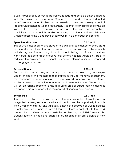audio/visual effects, or wish to be trained to lead and develop other leaders as well. The design and purpose of Chapel Class is to develop a student-led worship service model. Students will be trained and mentored in every aspect of leading Christ-honoring worship gatherings. Students' roles will include serving on various teams, such as music, drama, arts, teaching and preaching, administration and oversight, audio and visual, and other creative outlets from which to present the Good News of Jesus Christ in a congregational setting.

#### **Speech and Debate 0.5 Credit**

This course is designed to give students the skills and confidence to articulate a position, discuss a topic, land an interview, or have a conversation. Focal points include organization of thoughts and content, timing, transitions, as well as non-verbal components of effective oral communication. Attention is paid to reducing the anxiety of public speaking while developing articulate, organized and engaging speakers.

#### **Personal Finance 1 Credit**

Personal finance is designed to equip students in developing a deeper understanding of the mathematics of finance to include: money management, risk management and financial planning related to consumer and family studies, career and technical education and personal finance. The emphasis will be on refining problem-solving skills using project-based learning activities and academic integration within the context of financial applications.

#### **Senior Expo 0.5 Credit**

This is a one to two year capstone project for our graduates. Senior Expo is an integrated learning experience where students have the opportunity to apply their Christian Worldview and various skills they have acquired at DCS to address a real world issue of personal interest that puts them in contact with the world around them. Given autonomy, self-directed learning, and 21st Century skills, students identify a need and address it, culminating in an oral defense of their work.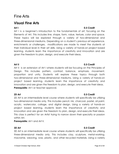## Fine Arts

## **Visual Fine Arts**

### **Art I 0.5 Credit**

Art I is a beginner's introduction to the fundamentals of art, focusing on the Elements of Art. This includes line, shape, form, value, texture, color and space. These topics will be explored through a variety of two-dimensional and three-dimensional mediums. Depending on a student's previous art experience, enrichments or challenges, modifications are made to meet the students at their individual level in their art skills. Using a variety of hands-on project based learning, students learn the importance of creativity and innovation and are given the freedom to plan, design, and execute their ideas.

Art II is an extension of Art I where students will be focusing on the Principles of Design. This includes pattern, contrast, balance, emphasis, movement, proportion and unity. Students will explore these topics through both two-dimensional and three-dimensional mediums. Using a variety of hands-on project based learning, students learn the importance of creativity and innovation and are given the freedom to plan, design, and execute their ideas. **Prerequisite:** Art I or teacher approval.

2D Art is an intermediate level course where students will specifically be utilizing two-dimensional media only. This includes pencil, ink, charcoal, pastel, oil paint, acrylic, watercolor, collage, and digital design. Using a variety of hands-on project based learning, students learn the importance of creativity and innovation and are given the freedom to plan, design, and execute their ideas. This class is perfect for an Artist trying to narrow down their specialty or passion within Art.

**Prerequisite:** Art I and Art II.

**3D Art 0.5 Credit** 3D Art is an intermediate level course where students will specifically be utilizing three-dimensional media only. This includes clay, sculpture, metal-working, macrame, weaving, wax, plastic, and other recycled materials. Using a variety

### **Art II 0.5 Credit**

### **2D Art 0.5 Credit**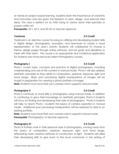of hands-on project based learning, students learn the importance of creativity and innovation and are given the freedom to plan, design, and execute their ideas. This class is perfect for an Artist trying to narrow down their specialty or passion within Art.

**Prerequisite:** Art I, Art II, and 2D Art or teacher approval

### **Yearbook 0.5 Credit**

Yearbook is an elective course focusing on utilizing and developing student skills in digital design, photography, journalism, and teamwork to create a visual representation of the year's events. Students will collaborate to choose a theme, design pages through online software, and set goals and deadlines to meet with their team. This course is an appropriate and contextual application for students who have previously taken Photography courses.

#### **Photography I 0.5 Credit**

Photo I covers basic concepts and practice of digital photography, including understanding and use of the camera in manual mode. Photo I will also address aesthetic principles as they relate to composition, aperture, exposure, light and tonal range. Basic post processing digital manipulations of images will be taught in preparation for creating a photo portfolio of images.

**Note:** Students must have their own camera which supports manual mode.

### **Photography II 0.5 Credit**

Photo II continues to hone skills in photography using manual mode. In addition to continuing to grow their knowledge on aesthetic principles, Photo II students will focus on finding and developing their style of photography. Photo II students will help to teach Photo I students the basics of camera operation in manual mode. Additional post processing manipulations will be explored to add to an existing portfolio.

**Note:** Students must have their own camera which supports manual mode. **Prerequisite:** Photography I or teacher approval.

#### **Photography III 0.5 Credit**

Photo III furthers work in their personal style of photography, moving away from the basics of composition, aperture, exposure, light, and tonal range, attempting more creative methods of construction of light. Students will utilize their developing skills to give back to the local community in the setting of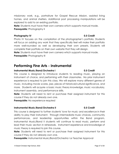missionary work, e.g., portraiture for Gospel Rescue Mission, assisted living homes, and animal shelters. Additional post processing manipulations will be explored to add to an existing portfolio.

**Note:** Students must have their own camera which supports manual mode. **Prerequisite:** Photography II

#### **Photography IV 0.5 Credit**

Photo IV focuses on the compilation of the photographer's portfolio. Students will focus on adding any work that they specifically feel will make their portfolio more well-rounded as well as developing their own presets. Students will complete their portfolio on their own website that they will design.

**Note:** Students must have their own camera which supports manual mode.

**Prerequisite:** Photography III

## **Performing Fine Arts - Instrumental**

### **Instrumental Music/Band/Orchestra I 0.5 Credit**

This course is designed to introduce students to reading music, playing an instrument of choice, and performing with their classmates. No prior instrument experience is required to join this class. We will explore many different genres of music, including movie scores, jazz, pieces of historical/cultural significance, and more. Students will acquire a basic music theory knowledge, music vocabulary, instrument assembly, and performance skills.

**Note:** Students will need to rent or purchase their assigned instrument for this course if they do not already own one.

**Prerequisite:** No experience required

### **Instrumental Music/Band/Orchestra II 0.5 Credit**

This course is designed to further students' love for music and excellence in their ability to play their instrument. Through intermediate music choices, community performances, and leadership opportunities within the Band program, Instrumental Music/Band II students will continue to read music, perform and lead their music section in rehearsals. Instrument experience and knowledge of music theory is required to join this course.

**Note:** Students will need to rent or purchase their assigned instrument for this course if they do not already own one.

**Prerequisite:** Instrumental Music/Band/Orchestra I or Teacher Approval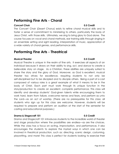## **Performing Fine Arts - Choral**

### **Concert Choir 0.5 Credit**

The Concert Choir (*Desert Chorus*) exists to refine choral musical skills and to foster a sense of commitment to ministering to others, particularly the body of Jesus Christ, with those skills. Ultimately, we sing to bring glory to God alone. The course focuses on vocal and choral methods, ear training skills through singing in an ensemble setting and sight reading, interpretation of music, appreciation of a wide variety of choral genres, and performance skills.

## **Performing Fine Arts - Theatrical**

### **Musical Theater 0.5 Credit**

Musical Theatre is unique in the realm of fine arts. It exercises all aspects of an individual because it draws on their ability to sing, act, and dance to create a believable story on stage. As a Christian, these abilities are uniquely suited to share the story and the glory of God. Moreover, as God is excellent, musical theater too strives for excellence, requiring students to not only be self-disciplined but to be discipled and to disciple others. Being a part of a cast composed of various roles is a great example of what it means to be in the body of Christ. Each part must work through its unique function in the story/production to create an excellent, *complete* performance. This class will identify and develop students' God-given talents while encouraging them to work hard, learn from failure, overcome nerves and fears, and perform as unto the Lord—as an act of worship. (There are no prerequisites for this class; all students who sign up for this class are welcome. However, students will be required to prepare and perform an audition at the start of the semester for casting and educational purposes.)

### **Drama & Stagecraft 101 0.5 Credit**

Drama and Stagecraft 101 introduces students to the incredible world of theater and stage production where the possibilities are endless—as are the choices. While the class has a focus on acting, improvisation, and performance, it also encourages the students to explore the myriad ways in which one can be involved in theatrical production, such as: directing, scenic design, costuming, playwriting, and more! This class is perfect for students looking to exercise their